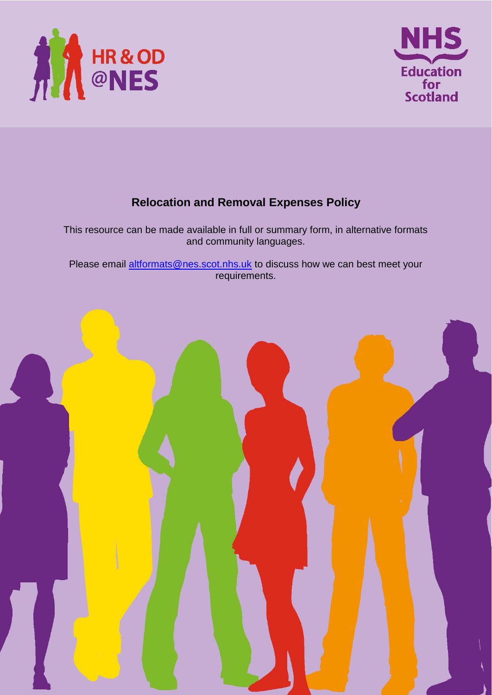



# **Relocation and Removal Expenses Policy**

This resource can be made available in full or summary form, in alternative formats and community languages.

Please email altformats@nes.scot.nhs.uk to discuss how we can best meet your requirements.

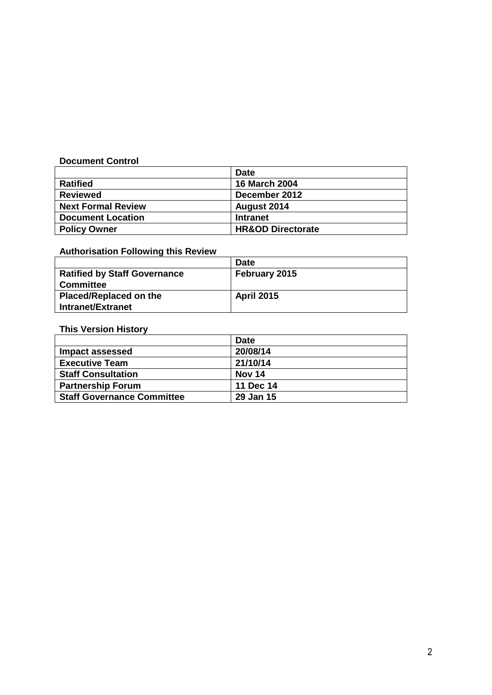### **Document Control**

|                           | <b>Date</b>                  |
|---------------------------|------------------------------|
| <b>Ratified</b>           | <b>16 March 2004</b>         |
| <b>Reviewed</b>           | December 2012                |
| <b>Next Formal Review</b> | August 2014                  |
| <b>Document Location</b>  | <b>Intranet</b>              |
| <b>Policy Owner</b>       | <b>HR&amp;OD Directorate</b> |

# **Authorisation Following this Review**

|                                     | <b>Date</b>       |
|-------------------------------------|-------------------|
| <b>Ratified by Staff Governance</b> | February 2015     |
| <b>Committee</b>                    |                   |
| <b>Placed/Replaced on the</b>       | <b>April 2015</b> |
| <b>Intranet/Extranet</b>            |                   |

### **This Version History**

|                                   | <b>Date</b> |
|-----------------------------------|-------------|
| Impact assessed                   | 20/08/14    |
| <b>Executive Team</b>             | 21/10/14    |
| <b>Staff Consultation</b>         | Nov 14      |
| <b>Partnership Forum</b>          | 11 Dec 14   |
| <b>Staff Governance Committee</b> | 29 Jan 15   |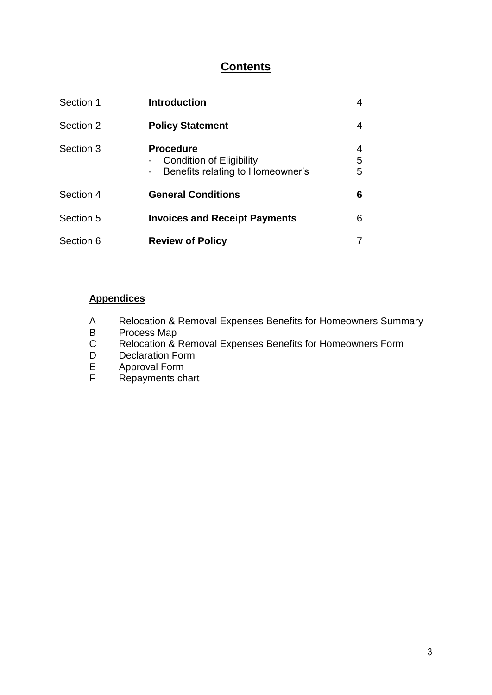# **Contents**

| Section 1 | <b>Introduction</b>                                                              |             |
|-----------|----------------------------------------------------------------------------------|-------------|
| Section 2 | <b>Policy Statement</b>                                                          | 4           |
| Section 3 | <b>Procedure</b><br>Condition of Eligibility<br>Benefits relating to Homeowner's | 4<br>5<br>5 |
| Section 4 | <b>General Conditions</b>                                                        | 6           |
| Section 5 | <b>Invoices and Receipt Payments</b>                                             | 6           |
| Section 6 | <b>Review of Policy</b>                                                          |             |

# **Appendices**

- A Relocation & Removal Expenses Benefits for Homeowners Summary
- B Process Map<br>C Relocation &
- Relocation & Removal Expenses Benefits for Homeowners Form
- D Declaration Form<br>E Approval Form
- E Approval Form<br>F Repayments ch
- Repayments chart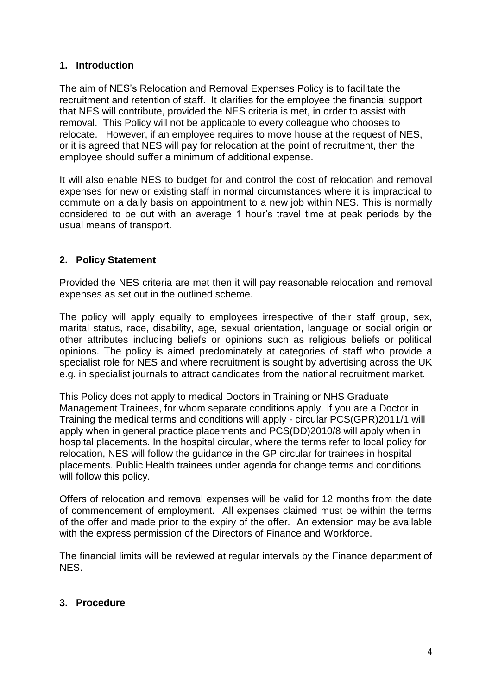## **1. Introduction**

The aim of NES's Relocation and Removal Expenses Policy is to facilitate the recruitment and retention of staff. It clarifies for the employee the financial support that NES will contribute, provided the NES criteria is met, in order to assist with removal. This Policy will not be applicable to every colleague who chooses to relocate. However, if an employee requires to move house at the request of NES, or it is agreed that NES will pay for relocation at the point of recruitment, then the employee should suffer a minimum of additional expense.

It will also enable NES to budget for and control the cost of relocation and removal expenses for new or existing staff in normal circumstances where it is impractical to commute on a daily basis on appointment to a new job within NES. This is normally considered to be out with an average 1 hour's travel time at peak periods by the usual means of transport.

## **2. Policy Statement**

Provided the NES criteria are met then it will pay reasonable relocation and removal expenses as set out in the outlined scheme.

The policy will apply equally to employees irrespective of their staff group, sex, marital status, race, disability, age, sexual orientation, language or social origin or other attributes including beliefs or opinions such as religious beliefs or political opinions. The policy is aimed predominately at categories of staff who provide a specialist role for NES and where recruitment is sought by advertising across the UK e.g. in specialist journals to attract candidates from the national recruitment market.

This Policy does not apply to medical Doctors in Training or NHS Graduate Management Trainees, for whom separate conditions apply. If you are a Doctor in Training the medical terms and conditions will apply - circular PCS(GPR)2011/1 will apply when in general practice placements and PCS(DD)2010/8 will apply when in hospital placements. In the hospital circular, where the terms refer to local policy for relocation, NES will follow the guidance in the GP circular for trainees in hospital placements. Public Health trainees under agenda for change terms and conditions will follow this policy.

Offers of relocation and removal expenses will be valid for 12 months from the date of commencement of employment. All expenses claimed must be within the terms of the offer and made prior to the expiry of the offer. An extension may be available with the express permission of the Directors of Finance and Workforce.

The financial limits will be reviewed at regular intervals by the Finance department of NES.

## **3. Procedure**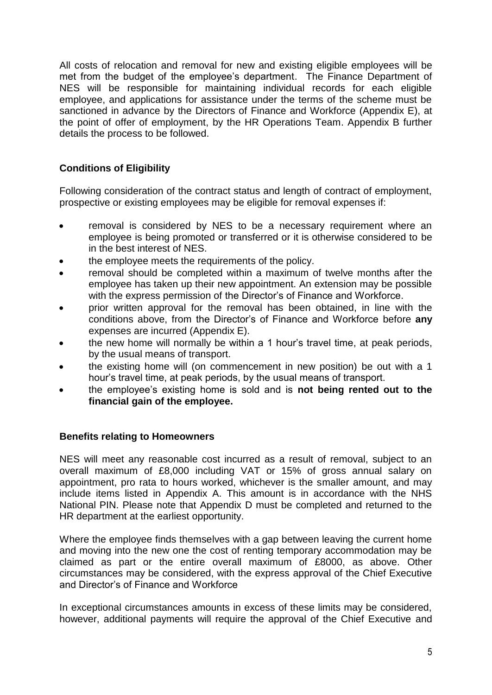All costs of relocation and removal for new and existing eligible employees will be met from the budget of the employee's department. The Finance Department of NES will be responsible for maintaining individual records for each eligible employee, and applications for assistance under the terms of the scheme must be sanctioned in advance by the Directors of Finance and Workforce (Appendix E), at the point of offer of employment, by the HR Operations Team. Appendix B further details the process to be followed.

# **Conditions of Eligibility**

Following consideration of the contract status and length of contract of employment, prospective or existing employees may be eligible for removal expenses if:

- removal is considered by NES to be a necessary requirement where an employee is being promoted or transferred or it is otherwise considered to be in the best interest of NES.
- the employee meets the requirements of the policy.
- removal should be completed within a maximum of twelve months after the employee has taken up their new appointment. An extension may be possible with the express permission of the Director's of Finance and Workforce.
- prior written approval for the removal has been obtained, in line with the conditions above, from the Director's of Finance and Workforce before **any** expenses are incurred (Appendix E).
- the new home will normally be within a 1 hour's travel time, at peak periods, by the usual means of transport.
- the existing home will (on commencement in new position) be out with a 1 hour's travel time, at peak periods, by the usual means of transport.
- the employee's existing home is sold and is **not being rented out to the financial gain of the employee.**

## **Benefits relating to Homeowners**

NES will meet any reasonable cost incurred as a result of removal, subject to an overall maximum of £8,000 including VAT or 15% of gross annual salary on appointment, pro rata to hours worked, whichever is the smaller amount, and may include items listed in Appendix A. This amount is in accordance with the NHS National PIN. Please note that Appendix D must be completed and returned to the HR department at the earliest opportunity.

Where the employee finds themselves with a gap between leaving the current home and moving into the new one the cost of renting temporary accommodation may be claimed as part or the entire overall maximum of £8000, as above. Other circumstances may be considered, with the express approval of the Chief Executive and Director's of Finance and Workforce

In exceptional circumstances amounts in excess of these limits may be considered, however, additional payments will require the approval of the Chief Executive and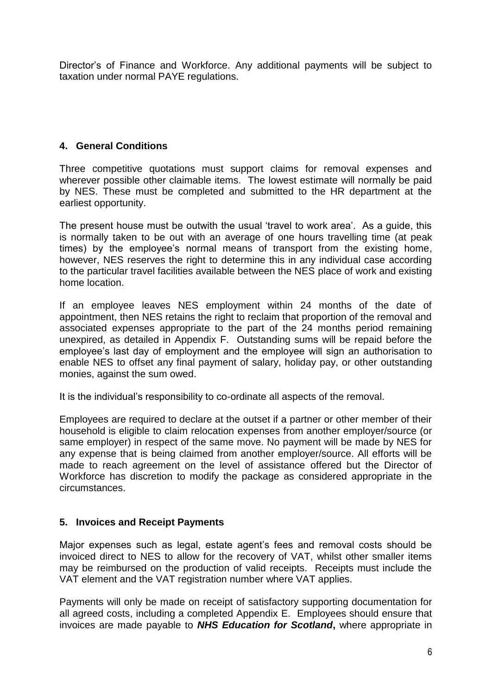Director's of Finance and Workforce. Any additional payments will be subject to taxation under normal PAYE regulations.

# **4. General Conditions**

Three competitive quotations must support claims for removal expenses and wherever possible other claimable items. The lowest estimate will normally be paid by NES. These must be completed and submitted to the HR department at the earliest opportunity.

The present house must be outwith the usual 'travel to work area'. As a guide, this is normally taken to be out with an average of one hours travelling time (at peak times) by the employee's normal means of transport from the existing home, however, NES reserves the right to determine this in any individual case according to the particular travel facilities available between the NES place of work and existing home location.

If an employee leaves NES employment within 24 months of the date of appointment, then NES retains the right to reclaim that proportion of the removal and associated expenses appropriate to the part of the 24 months period remaining unexpired, as detailed in Appendix F. Outstanding sums will be repaid before the employee's last day of employment and the employee will sign an authorisation to enable NES to offset any final payment of salary, holiday pay, or other outstanding monies, against the sum owed.

It is the individual's responsibility to co-ordinate all aspects of the removal.

Employees are required to declare at the outset if a partner or other member of their household is eligible to claim relocation expenses from another employer/source (or same employer) in respect of the same move. No payment will be made by NES for any expense that is being claimed from another employer/source. All efforts will be made to reach agreement on the level of assistance offered but the Director of Workforce has discretion to modify the package as considered appropriate in the circumstances.

## **5. Invoices and Receipt Payments**

Major expenses such as legal, estate agent's fees and removal costs should be invoiced direct to NES to allow for the recovery of VAT, whilst other smaller items may be reimbursed on the production of valid receipts. Receipts must include the VAT element and the VAT registration number where VAT applies.

Payments will only be made on receipt of satisfactory supporting documentation for all agreed costs, including a completed Appendix E. Employees should ensure that invoices are made payable to *NHS Education for Scotland***,** where appropriate in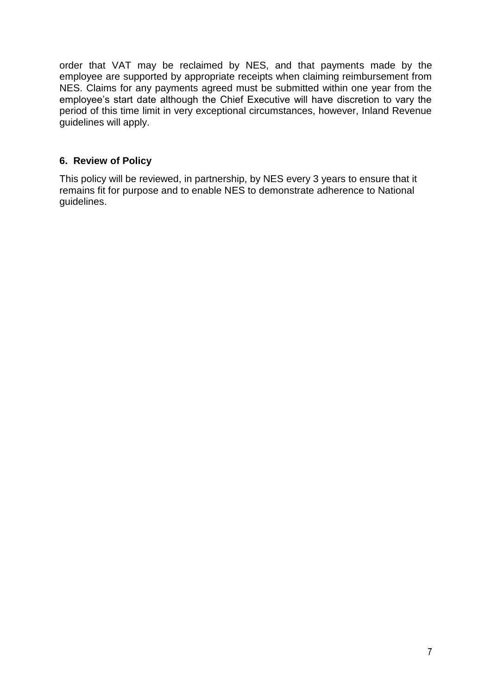order that VAT may be reclaimed by NES, and that payments made by the employee are supported by appropriate receipts when claiming reimbursement from NES. Claims for any payments agreed must be submitted within one year from the employee's start date although the Chief Executive will have discretion to vary the period of this time limit in very exceptional circumstances, however, Inland Revenue guidelines will apply.

# **6. Review of Policy**

This policy will be reviewed, in partnership, by NES every 3 years to ensure that it remains fit for purpose and to enable NES to demonstrate adherence to National guidelines.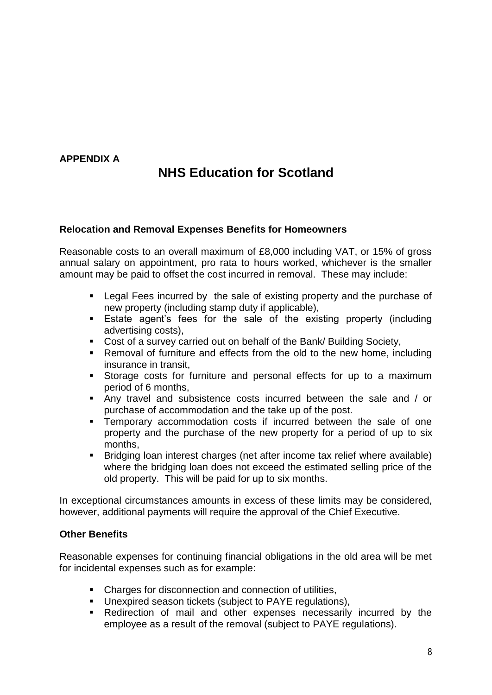# **APPENDIX A**

# **NHS Education for Scotland**

#### **Relocation and Removal Expenses Benefits for Homeowners**

Reasonable costs to an overall maximum of £8,000 including VAT, or 15% of gross annual salary on appointment, pro rata to hours worked, whichever is the smaller amount may be paid to offset the cost incurred in removal. These may include:

- Legal Fees incurred by the sale of existing property and the purchase of new property (including stamp duty if applicable),
- **Estate agent's fees for the sale of the existing property (including** advertising costs),
- Cost of a survey carried out on behalf of the Bank/ Building Society,
- Removal of furniture and effects from the old to the new home, including insurance in transit,
- Storage costs for furniture and personal effects for up to a maximum period of 6 months,
- Any travel and subsistence costs incurred between the sale and / or purchase of accommodation and the take up of the post.
- **EXECOMMODE THE INCOMMODE TEMP** Temporary accommodation costs if incurred between the sale of one property and the purchase of the new property for a period of up to six months,
- Bridging loan interest charges (net after income tax relief where available) where the bridging loan does not exceed the estimated selling price of the old property. This will be paid for up to six months.

In exceptional circumstances amounts in excess of these limits may be considered, however, additional payments will require the approval of the Chief Executive.

#### **Other Benefits**

Reasonable expenses for continuing financial obligations in the old area will be met for incidental expenses such as for example:

- Charges for disconnection and connection of utilities,
- Unexpired season tickets (subject to PAYE regulations),
- Redirection of mail and other expenses necessarily incurred by the employee as a result of the removal (subject to PAYE regulations).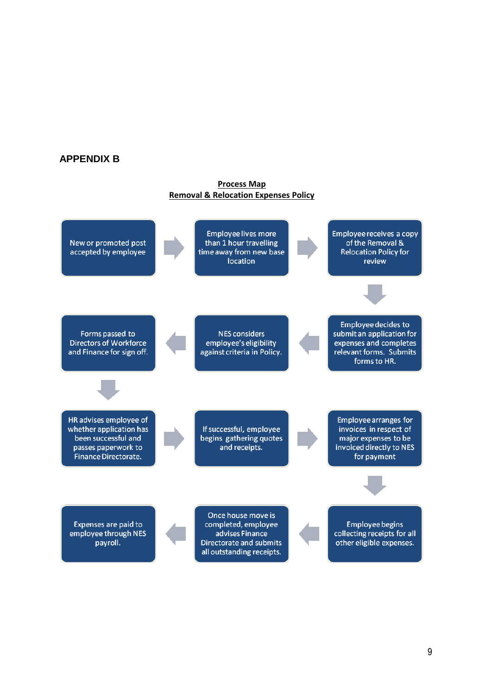#### **APPENDIX B**

#### **Process Map Removal & Relocation Expenses Policy**

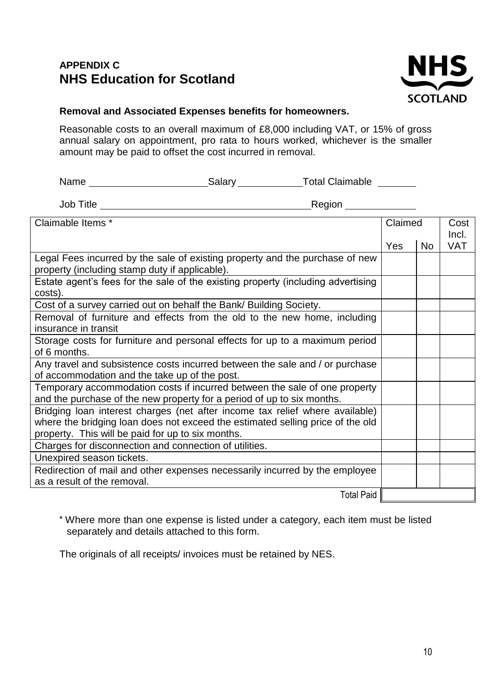# **APPENDIX C NHS Education for Scotland**



### **Removal and Associated Expenses benefits for homeowners.**

Reasonable costs to an overall maximum of £8,000 including VAT, or 15% of gross annual salary on appointment, pro rata to hours worked, whichever is the smaller amount may be paid to offset the cost incurred in removal.

| Name | Salarv | <b>Total Claimable</b> |
|------|--------|------------------------|
|      |        |                        |

Job Title Region

| Claimable Items *                                                                | Claimed |           | Cost       |
|----------------------------------------------------------------------------------|---------|-----------|------------|
|                                                                                  |         |           | Incl.      |
|                                                                                  | Yes     | <b>No</b> | <b>VAT</b> |
| Legal Fees incurred by the sale of existing property and the purchase of new     |         |           |            |
| property (including stamp duty if applicable).                                   |         |           |            |
| Estate agent's fees for the sale of the existing property (including advertising |         |           |            |
| costs).                                                                          |         |           |            |
| Cost of a survey carried out on behalf the Bank/ Building Society.               |         |           |            |
| Removal of furniture and effects from the old to the new home, including         |         |           |            |
| insurance in transit                                                             |         |           |            |
| Storage costs for furniture and personal effects for up to a maximum period      |         |           |            |
| of 6 months.                                                                     |         |           |            |
| Any travel and subsistence costs incurred between the sale and / or purchase     |         |           |            |
| of accommodation and the take up of the post.                                    |         |           |            |
| Temporary accommodation costs if incurred between the sale of one property       |         |           |            |
| and the purchase of the new property for a period of up to six months.           |         |           |            |
| Bridging loan interest charges (net after income tax relief where available)     |         |           |            |
| where the bridging loan does not exceed the estimated selling price of the old   |         |           |            |
| property. This will be paid for up to six months.                                |         |           |            |
| Charges for disconnection and connection of utilities.                           |         |           |            |
| Unexpired season tickets.                                                        |         |           |            |
| Redirection of mail and other expenses necessarily incurred by the employee      |         |           |            |
| as a result of the removal.                                                      |         |           |            |
| <b>Total Paid</b>                                                                |         |           |            |

\* Where more than one expense is listed under a category, each item must be listed separately and details attached to this form.

The originals of all receipts/ invoices must be retained by NES.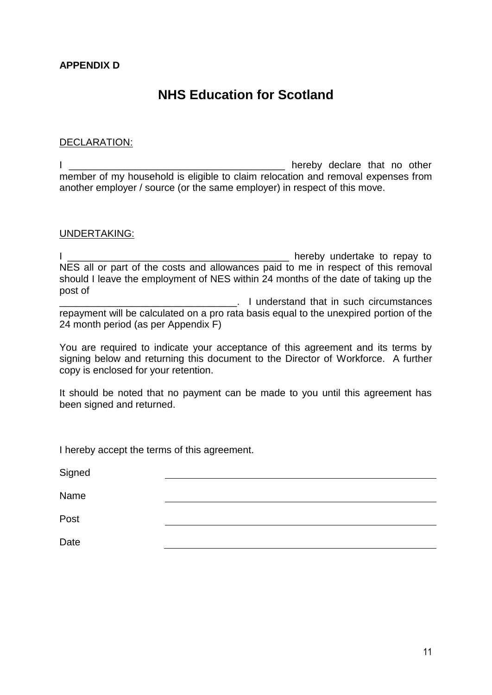# **NHS Education for Scotland**

#### DECLARATION:

I \_\_\_\_\_\_\_\_\_\_\_\_\_\_\_\_\_\_\_\_\_\_\_\_\_\_\_\_\_\_\_\_\_\_\_\_\_\_\_ hereby declare that no other member of my household is eligible to claim relocation and removal expenses from another employer / source (or the same employer) in respect of this move.

#### UNDERTAKING:

I allows the contract of the property independent of the property of the repay to  $\sim$ NES all or part of the costs and allowances paid to me in respect of this removal should I leave the employment of NES within 24 months of the date of taking up the post of

**EXECUTE:** I understand that in such circumstances repayment will be calculated on a pro rata basis equal to the unexpired portion of the 24 month period (as per Appendix F)

You are required to indicate your acceptance of this agreement and its terms by signing below and returning this document to the Director of Workforce. A further copy is enclosed for your retention.

It should be noted that no payment can be made to you until this agreement has been signed and returned.

I hereby accept the terms of this agreement.

**Signed** 

Name

Post

Date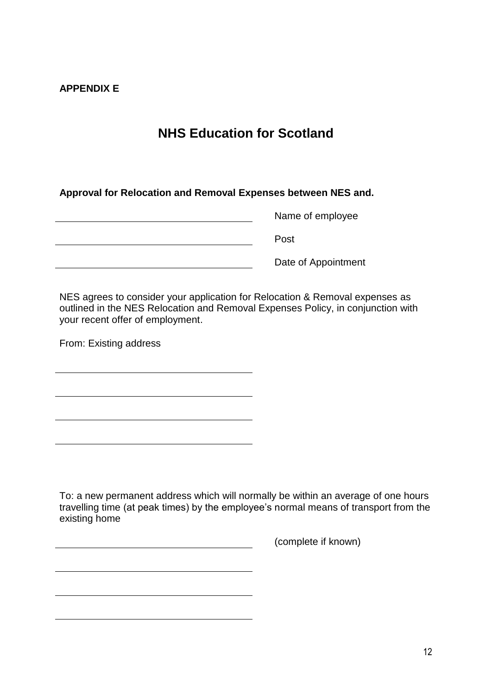### **APPENDIX E**

# **NHS Education for Scotland**

**Approval for Relocation and Removal Expenses between NES and.**

Name of employee Post <u> 1980 - Johann Barbara, martxa amerikan per</u> Date of Appointment

NES agrees to consider your application for Relocation & Removal expenses as outlined in the NES Relocation and Removal Expenses Policy, in conjunction with your recent offer of employment.

From: Existing address

To: a new permanent address which will normally be within an average of one hours travelling time (at peak times) by the employee's normal means of transport from the existing home

(complete if known)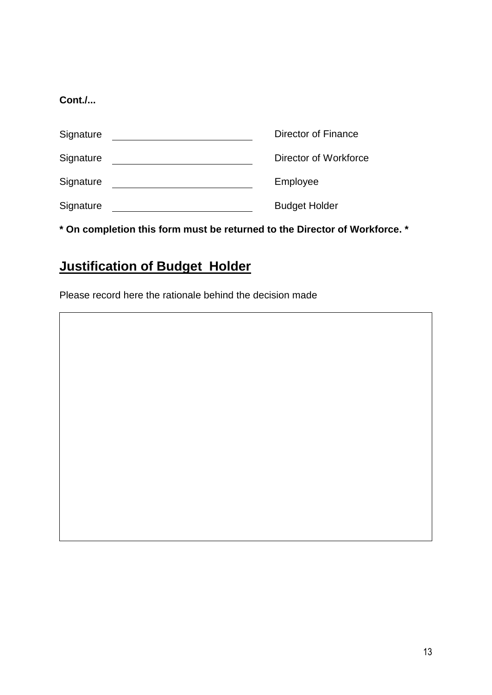# **Cont./...**

| Signature | Director of Finance   |
|-----------|-----------------------|
| Signature | Director of Workforce |
| Signature | Employee              |
| Signature | <b>Budget Holder</b>  |

**\* On completion this form must be returned to the Director of Workforce. \***

# **Justification of Budget Holder**

Please record here the rationale behind the decision made